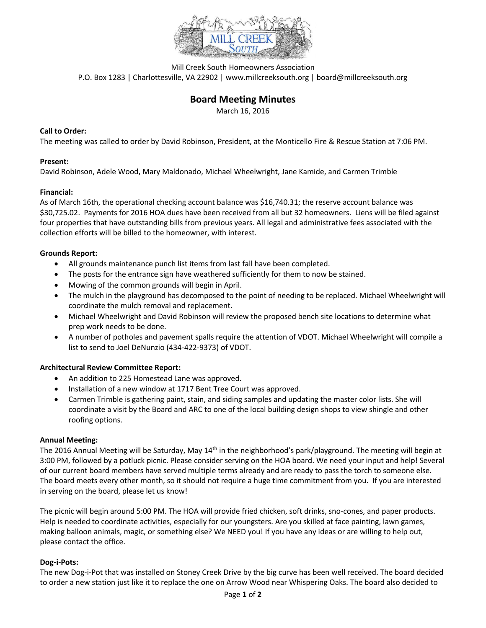

Mill Creek South Homeowners Association P.O. Box 1283 | Charlottesville, VA 22902 | www.millcreeksouth.org | board@millcreeksouth.org

# **Board Meeting Minutes**

March 16, 2016

# **Call to Order:**

The meeting was called to order by David Robinson, President, at the Monticello Fire & Rescue Station at 7:06 PM.

# **Present:**

David Robinson, Adele Wood, Mary Maldonado, Michael Wheelwright, Jane Kamide, and Carmen Trimble

# **Financial:**

As of March 16th, the operational checking account balance was \$16,740.31; the reserve account balance was \$30,725.02. Payments for 2016 HOA dues have been received from all but 32 homeowners. Liens will be filed against four properties that have outstanding bills from previous years. All legal and administrative fees associated with the collection efforts will be billed to the homeowner, with interest.

# **Grounds Report:**

- All grounds maintenance punch list items from last fall have been completed.
- The posts for the entrance sign have weathered sufficiently for them to now be stained.
- Mowing of the common grounds will begin in April.
- The mulch in the playground has decomposed to the point of needing to be replaced. Michael Wheelwright will coordinate the mulch removal and replacement.
- Michael Wheelwright and David Robinson will review the proposed bench site locations to determine what prep work needs to be done.
- A number of potholes and pavement spalls require the attention of VDOT. Michael Wheelwright will compile a list to send to Joel DeNunzio (434-422-9373) of VDOT.

#### **Architectural Review Committee Report:**

- An addition to 225 Homestead Lane was approved.
- Installation of a new window at 1717 Bent Tree Court was approved.
- Carmen Trimble is gathering paint, stain, and siding samples and updating the master color lists. She will coordinate a visit by the Board and ARC to one of the local building design shops to view shingle and other roofing options.

#### **Annual Meeting:**

The 2016 Annual Meeting will be Saturday, May 14<sup>th</sup> in the neighborhood's park/playground. The meeting will begin at 3:00 PM, followed by a potluck picnic. Please consider serving on the HOA board. We need your input and help! Several of our current board members have served multiple terms already and are ready to pass the torch to someone else. The board meets every other month, so it should not require a huge time commitment from you. If you are interested in serving on the board, please let us know!

The picnic will begin around 5:00 PM. The HOA will provide fried chicken, soft drinks, sno-cones, and paper products. Help is needed to coordinate activities, especially for our youngsters. Are you skilled at face painting, lawn games, making balloon animals, magic, or something else? We NEED you! If you have any ideas or are willing to help out, please contact the office.

#### **Dog-i-Pots:**

The new Dog-i-Pot that was installed on Stoney Creek Drive by the big curve has been well received. The board decided to order a new station just like it to replace the one on Arrow Wood near Whispering Oaks. The board also decided to